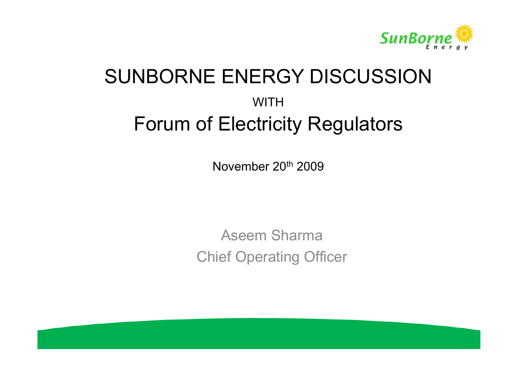

### SUNBORNE ENERGY DISCUSSION **WITH** Forum of Electricity Regulators

November 20th 2009

Aseem Sharma Chief Operating Officer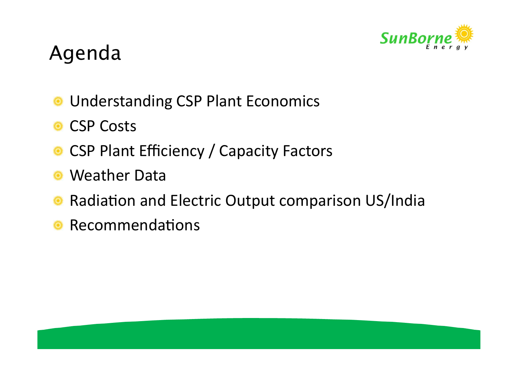

#### Agenda

- Understanding CSP Plant Economics ۱
- CSP Costs
- CSP Plant Efficiency / Capacity Factors
- Weather Data
- Radiation and Electric Output comparison US/India
- Recommendations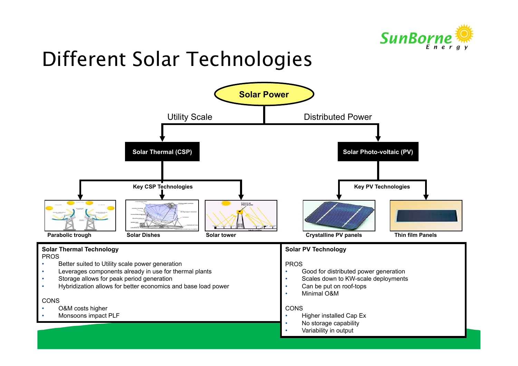

# Different Solar Technologies

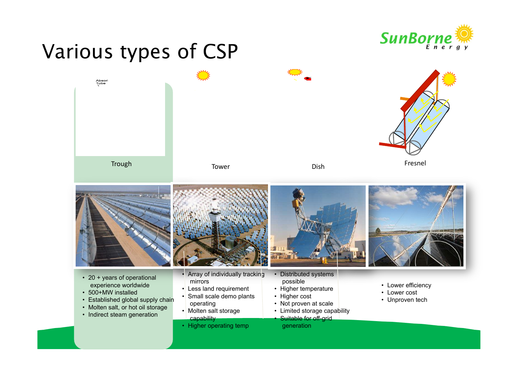

#### Various types of CSP

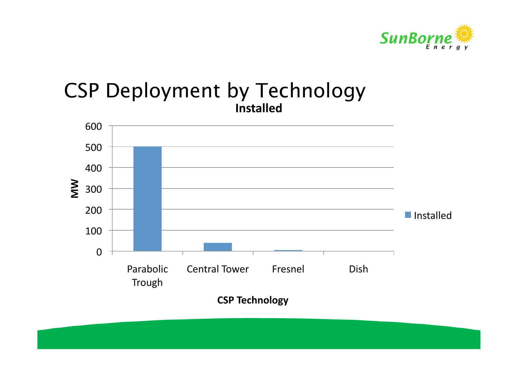

#### CSP Deployment by Technology  $\overline{0}$ 100+ 200+ 300+ 400+ 500+ 600+ Parabolic+ Trough+ Central Tower
Fresnel
State Solish **MW# CSP Technology Installed** Installed+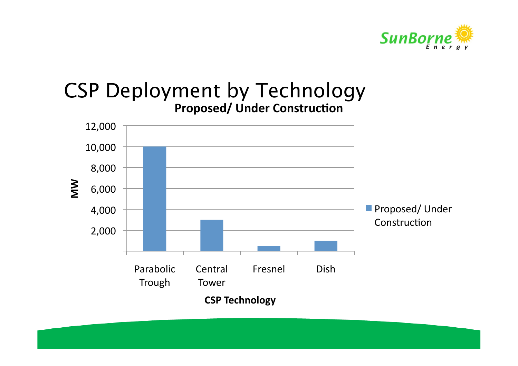

#### CSP Deployment by Technology **Proposed/ Under Construction**

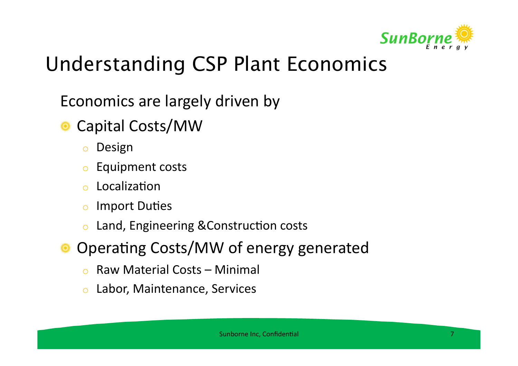

### Understanding CSP Plant Economics

Economics are largely driven by

Capital Costs/MW

- o Design+
- Equipment costs
- $\circ$  Localization
- $\circ$  Import Duties
- $\circ$  Land, Engineering & Construction costs
- Operating Costs/MW of energy generated
	- $\circ$  Raw Material Costs Minimal
	- $\circ$  Labor, Maintenance, Services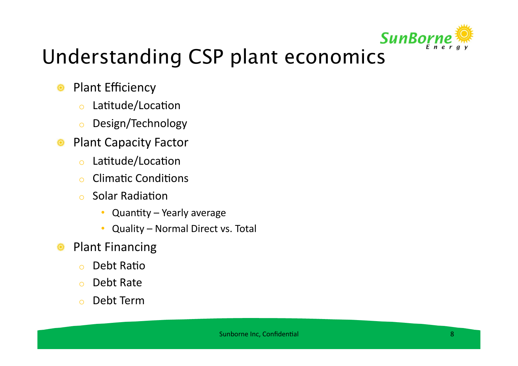

### Understanding CSP plant economics

- Plant Efficiency Ö
	- $\circ$  Latitude/Location
	- o Design/Technology+
- Plant Capacity Factor Ö
	- $\circ$  Latitude/Location
	- $\circ$  Climatic Conditions
	- $\circ$  Solar Radiation
		- Quantity Yearly average
		- Quality Normal Direct vs. Total
- Plant Financing Ö
	- $\circ$  Debt Ratio
	- $\circ$  Debt Rate
	- o Debt+Term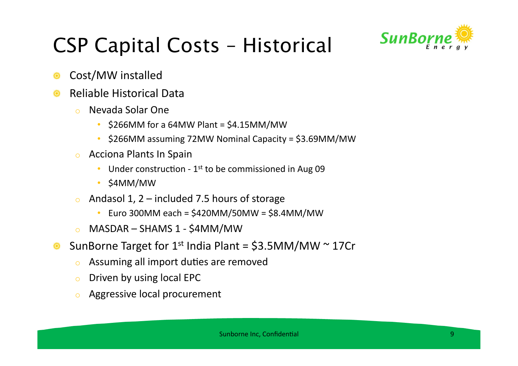

# CSP Capital Costs – Historical

- Cost/MW installed
- Reliable Historical Data 椅
	- o Nevada+Solar+One+
		- $$266$ MM for a 64MW Plant = \$4.15MM/MW
		- \$266MM assuming 72MW Nominal Capacity =  $$3.69$ MM/MW
	- Acciona Plants In Spain
		- Under construction  $1<sup>st</sup>$  to be commissioned in Aug 09
		- \$4MM/MW+
	- $\circ$  Andasol 1, 2 included 7.5 hours of storage
		- Euro 300MM each =  $$420MM/50MW = $8.4MM/MW$
	- $\circ$  MASDAR SHAMS 1 \$4MM/MW
- SunBorne Target for 1<sup>st</sup> India Plant =  $$3.5MM/MW \approx 17Cr$ ◐
	- Assuming all import duties are removed
	- $\circ$  Driven by using local EPC
	- o Aggressive local procurement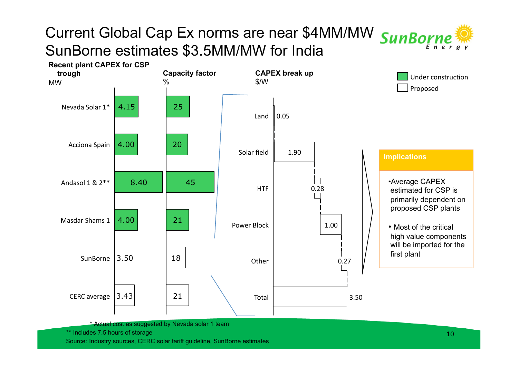#### Current Global Cap Ex norms are near \$4MM/MW SunBorn SunBorne estimates \$3.5MM/MW for India





Source: Industry sources, CERC solar tariff guideline, SunBorne estimates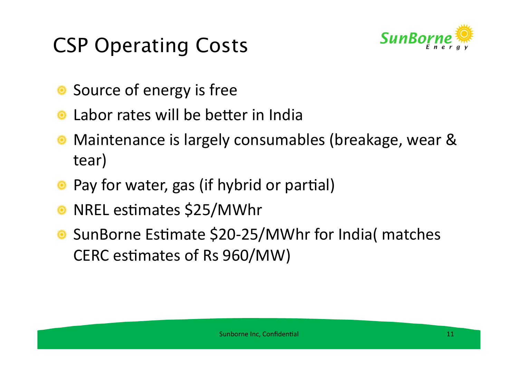# CSP Operating Costs



- $\bullet$  Source of energy is free
- Labor rates will be better in India
- Maintenance is largely consumables (breakage, wear & tear)+
- **Pay for water, gas (if hybrid or partial)**
- $\bullet$  NREL estimates \$25/MWhr
- SunBorne Estimate \$20-25/MWhr for India( matches CERC estimates of Rs 960/MW)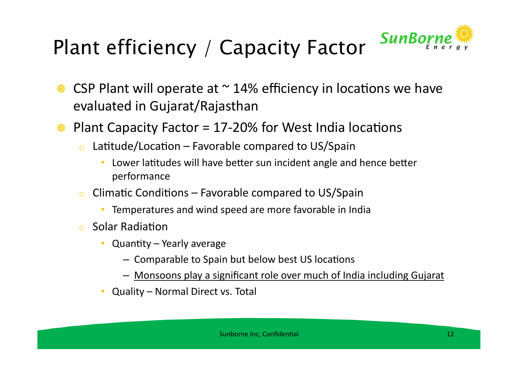

# Plant efficiency / Capacity Factor

- CSP Plant will operate at  $\sim$  14% efficiency in locations we have evaluated in Gujarat/Rajasthan
- Plant Capacity Factor =  $17$ -20% for West India locations
	- $\circ$  Latitude/Location Favorable compared to US/Spain
		- Lower latitudes will have better sun incident angle and hence better performance+
	- $\circ$  Climatic Conditions Favorable compared to US/Spain
		- Temperatures and wind speed are more favorable in India
	- $\circ$  Solar Radiation
		- Quantity Yearly average
			- $-$  Comparable to Spain but below best US locations
			- $-$  Monsoons play a significant role over much of India including Gujarat
		- Quality Normal Direct vs. Total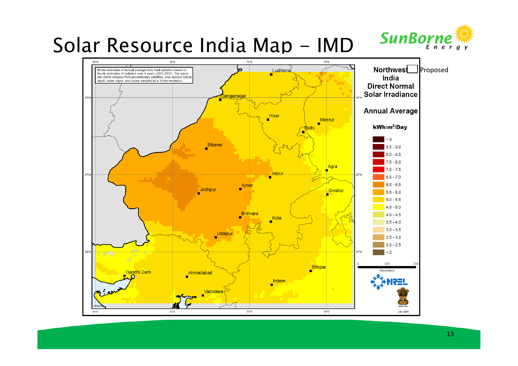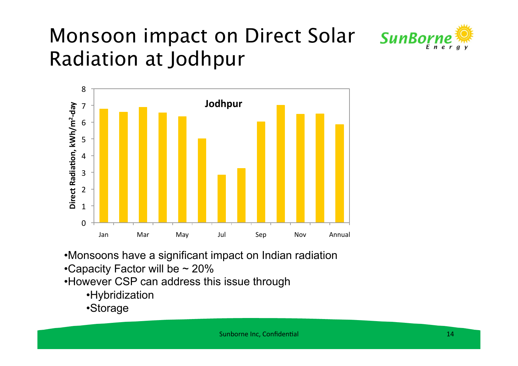

### Monsoon impact on Direct Solar SunBorn Radiation at Jodhpur



•Monsoons have a significant impact on Indian radiation

- •Capacity Factor will be ~ 20%
- •However CSP can address this issue through
	- •Hybridization
	- •Storage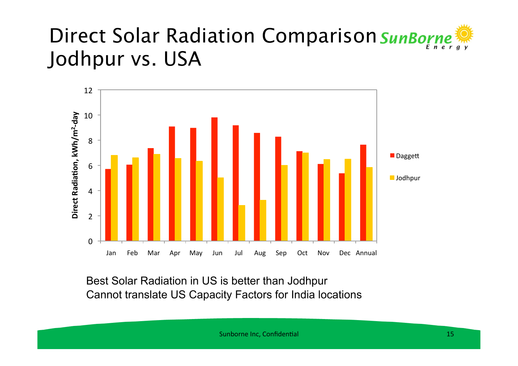#### Direct Solar Radiation Comparison SunBorne Jodhpur vs. USA



Best Solar Radiation in US is better than Jodhpur Cannot translate US Capacity Factors for India locations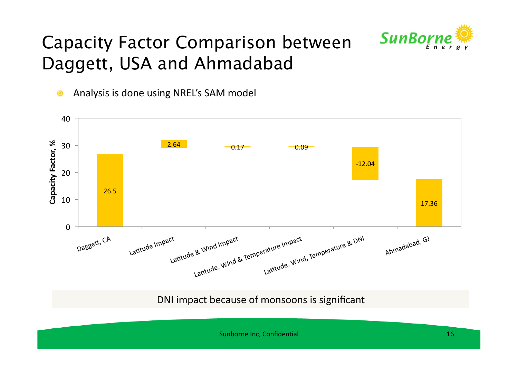#### Capacity Factor Comparison between Daggett, USA and Ahmadabad



Analysis is done using NREL's SAM model Ö



DNI impact because of monsoons is significant

Sunborne Inc, Confidential
and the Confidential and the Confidential and the Confidential and the Confidential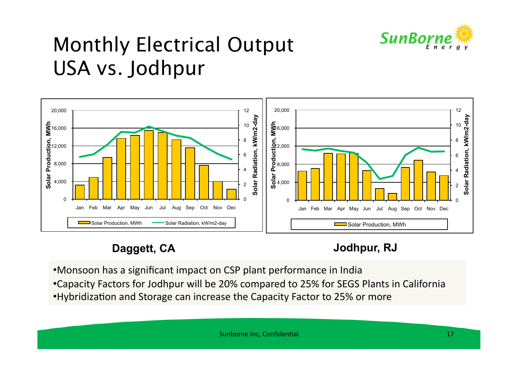

### Monthly Electrical Output USA vs. Jodhpur



#### **Daggett, CA** Jodhpur, RJ

•Monsoon has a significant impact on CSP plant performance in India •Capacity Factors for Jodhpur will be 20% compared to 25% for SEGS Plants in California •Hybridization and Storage can increase the Capacity Factor to 25% or more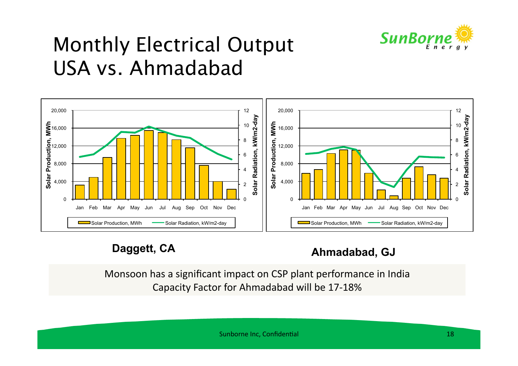

#### Monthly Electrical Output USA vs. Ahmadabad



#### Daggett, CA Ahmadabad, GJ

Monsoon has a significant impact on CSP plant performance in India Capacity Factor for Ahmadabad will be 17-18%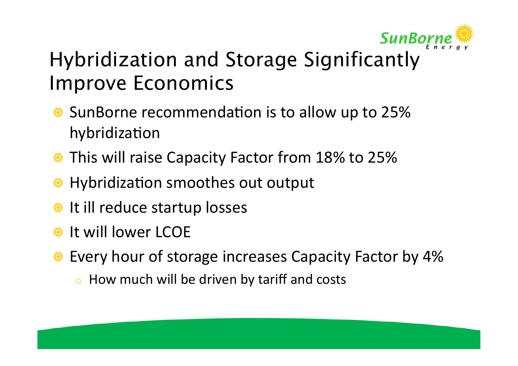

# Hybridization and Storage Significantly Improve Economics

- SunBorne recommendation is to allow up to 25% hybridization
- This will raise Capacity Factor from 18% to 25%
- Hybridization smoothes out output
- $\bullet$  It ill reduce startup losses
- It will lower LCOE
- Every hour of storage increases Capacity Factor by 4%
	- $\circ$  How much will be driven by tariff and costs